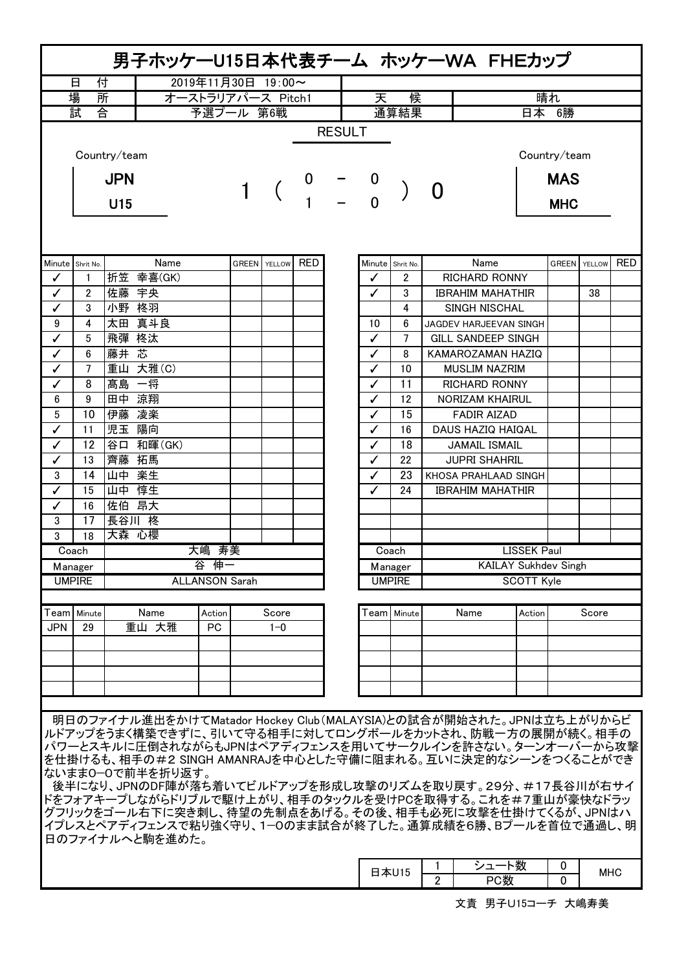| 男子ホッケーU15日本代表チーム ホッケーWA FHEカップ                                                                                                                                                                                                                                                                                                                                                                                                                                                                                         |               |              |                       |                   |  |                     |     |  |                             |                  |                      |                             |                   |              |        |            |
|------------------------------------------------------------------------------------------------------------------------------------------------------------------------------------------------------------------------------------------------------------------------------------------------------------------------------------------------------------------------------------------------------------------------------------------------------------------------------------------------------------------------|---------------|--------------|-----------------------|-------------------|--|---------------------|-----|--|-----------------------------|------------------|----------------------|-----------------------------|-------------------|--------------|--------|------------|
| 日<br>付<br>2019年11月30日 19:00~                                                                                                                                                                                                                                                                                                                                                                                                                                                                                           |               |              |                       |                   |  |                     |     |  |                             |                  |                      |                             |                   |              |        |            |
|                                                                                                                                                                                                                                                                                                                                                                                                                                                                                                                        | 場<br>所        |              |                       | オーストラリアパース Pitch1 |  |                     |     |  | 天<br>候                      |                  |                      | 晴れ                          |                   |              |        |            |
| 合<br>試                                                                                                                                                                                                                                                                                                                                                                                                                                                                                                                 |               |              | 予選プール 第6戦             |                   |  |                     |     |  |                             | 通算結果             |                      |                             | 日本 6勝             |              |        |            |
| <b>RESULT</b>                                                                                                                                                                                                                                                                                                                                                                                                                                                                                                          |               |              |                       |                   |  |                     |     |  |                             |                  |                      |                             |                   |              |        |            |
|                                                                                                                                                                                                                                                                                                                                                                                                                                                                                                                        |               | Country/team |                       |                   |  |                     |     |  |                             |                  |                      |                             |                   | Country/team |        |            |
|                                                                                                                                                                                                                                                                                                                                                                                                                                                                                                                        |               | <b>JPN</b>   |                       |                   |  |                     | 0   |  |                             |                  |                      |                             |                   | <b>MAS</b>   |        |            |
|                                                                                                                                                                                                                                                                                                                                                                                                                                                                                                                        |               | U15          |                       |                   |  |                     |     |  | $\overline{0}$              |                  |                      |                             |                   | <b>MHC</b>   |        |            |
|                                                                                                                                                                                                                                                                                                                                                                                                                                                                                                                        |               |              |                       |                   |  |                     |     |  |                             |                  |                      |                             |                   |              |        |            |
| Minute Shrit No.                                                                                                                                                                                                                                                                                                                                                                                                                                                                                                       |               |              | Name                  |                   |  | <b>GREEN</b> YELLOW | RED |  |                             | Minute Shrit No. |                      | Name                        |                   | <b>GREEN</b> | YELLOW | <b>RED</b> |
| ✓                                                                                                                                                                                                                                                                                                                                                                                                                                                                                                                      | 1             |              | 折笠 幸喜(GK)             |                   |  |                     |     |  |                             | 2                |                      | <b>RICHARD RONNY</b>        |                   |              |        |            |
| ✓                                                                                                                                                                                                                                                                                                                                                                                                                                                                                                                      | 2             | 佐藤 宇央        |                       |                   |  |                     |     |  | ✓                           | 3                |                      | <b>IBRAHIM MAHATHIR</b>     |                   |              | 38     |            |
| ✓                                                                                                                                                                                                                                                                                                                                                                                                                                                                                                                      | 3             | 小野 柊羽        |                       |                   |  |                     |     |  |                             | 4                |                      | <b>SINGH NISCHAL</b>        |                   |              |        |            |
| 9                                                                                                                                                                                                                                                                                                                                                                                                                                                                                                                      | 4             | 太田 真斗良       |                       |                   |  |                     |     |  | 10                          | 6                |                      | JAGDEV HARJEEVAN SINGH      |                   |              |        |            |
| ✓                                                                                                                                                                                                                                                                                                                                                                                                                                                                                                                      | 5             | 飛彈 柊汰        |                       |                   |  |                     |     |  | ✓                           | 7                |                      | GILL SANDEEP SINGH          |                   |              |        |            |
| ✓                                                                                                                                                                                                                                                                                                                                                                                                                                                                                                                      | 6             | 藤井 芯         |                       |                   |  |                     |     |  | ✓                           | 8                |                      | KAMAROZAMAN HAZIQ           |                   |              |        |            |
| ✓                                                                                                                                                                                                                                                                                                                                                                                                                                                                                                                      | 7             | 重山 大雅(C)     |                       |                   |  |                     |     |  | ✓                           | 10               |                      | <b>MUSLIM NAZRIM</b>        |                   |              |        |            |
| ℐ                                                                                                                                                                                                                                                                                                                                                                                                                                                                                                                      | 8             | 髙島 一将        |                       |                   |  |                     |     |  | ✓                           | 11               |                      | <b>RICHARD RONNY</b>        |                   |              |        |            |
| 6                                                                                                                                                                                                                                                                                                                                                                                                                                                                                                                      | 9             | 田中 涼翔        |                       |                   |  |                     |     |  | ✓                           | 12               |                      | <b>NORIZAM KHAIRUL</b>      |                   |              |        |            |
| 5                                                                                                                                                                                                                                                                                                                                                                                                                                                                                                                      | 10            | 伊藤 凌楽        |                       |                   |  |                     |     |  | ✓                           | 15               |                      | <b>FADIR AIZAD</b>          |                   |              |        |            |
| ✓                                                                                                                                                                                                                                                                                                                                                                                                                                                                                                                      | 11            | 児玉 陽向        |                       |                   |  |                     |     |  | ✓                           | 16               |                      | DAUS HAZIQ HAIQAL           |                   |              |        |            |
| ✓                                                                                                                                                                                                                                                                                                                                                                                                                                                                                                                      | 12            |              | 谷口 和暉(GK)             |                   |  |                     |     |  | ✓                           | 18               | <b>JAMAIL ISMAIL</b> |                             |                   |              |        |            |
| ✓                                                                                                                                                                                                                                                                                                                                                                                                                                                                                                                      | 13            | 齊藤 拓馬        |                       |                   |  |                     |     |  | ✓                           | 22               | <b>JUPRI SHAHRIL</b> |                             |                   |              |        |            |
|                                                                                                                                                                                                                                                                                                                                                                                                                                                                                                                        |               |              |                       |                   |  |                     |     |  | ✓                           | 23               | KHOSA PRAHLAAD SINGH |                             |                   |              |        |            |
| 3                                                                                                                                                                                                                                                                                                                                                                                                                                                                                                                      | 14            | 山中 楽生        |                       |                   |  |                     |     |  |                             |                  |                      |                             |                   |              |        |            |
| ✓                                                                                                                                                                                                                                                                                                                                                                                                                                                                                                                      | 15            | 山中 惇生        |                       |                   |  |                     |     |  | ✓                           | 24               |                      | <b>IBRAHIM MAHATHIR</b>     |                   |              |        |            |
| ✓                                                                                                                                                                                                                                                                                                                                                                                                                                                                                                                      | 16            | 佐伯 昂大        |                       |                   |  |                     |     |  |                             |                  |                      |                             |                   |              |        |            |
| 3                                                                                                                                                                                                                                                                                                                                                                                                                                                                                                                      | 17            | 長谷川 柊        |                       |                   |  |                     |     |  |                             |                  |                      |                             |                   |              |        |            |
| 3                                                                                                                                                                                                                                                                                                                                                                                                                                                                                                                      | 18            | 大森 心櫻        |                       |                   |  |                     |     |  |                             |                  |                      |                             |                   |              |        |            |
|                                                                                                                                                                                                                                                                                                                                                                                                                                                                                                                        | Coach         |              |                       | 大嶋 寿美             |  |                     |     |  | <b>LISSEK Paul</b><br>Coach |                  |                      |                             |                   |              |        |            |
|                                                                                                                                                                                                                                                                                                                                                                                                                                                                                                                        | Manager       |              | 谷 伸一                  |                   |  |                     |     |  | Manager                     |                  |                      | <b>KAILAY Sukhdev Singh</b> |                   |              |        |            |
|                                                                                                                                                                                                                                                                                                                                                                                                                                                                                                                        | <b>UMPIRE</b> |              | <b>ALLANSON Sarah</b> |                   |  |                     |     |  |                             | <b>UMPIRE</b>    |                      |                             | <b>SCOTT Kyle</b> |              |        |            |
| Teaml                                                                                                                                                                                                                                                                                                                                                                                                                                                                                                                  | Minute        |              | Name                  | Action            |  | Score               |     |  |                             | Team   Minute    |                      | Name                        | Action            |              | Score  |            |
| JPN                                                                                                                                                                                                                                                                                                                                                                                                                                                                                                                    | 29            |              | 重山 大雅                 | РC                |  | $1 - 0$             |     |  |                             |                  |                      |                             |                   |              |        |            |
|                                                                                                                                                                                                                                                                                                                                                                                                                                                                                                                        |               |              |                       |                   |  |                     |     |  |                             |                  |                      |                             |                   |              |        |            |
|                                                                                                                                                                                                                                                                                                                                                                                                                                                                                                                        |               |              |                       |                   |  |                     |     |  |                             |                  |                      |                             |                   |              |        |            |
|                                                                                                                                                                                                                                                                                                                                                                                                                                                                                                                        |               |              |                       |                   |  |                     |     |  |                             |                  |                      |                             |                   |              |        |            |
|                                                                                                                                                                                                                                                                                                                                                                                                                                                                                                                        |               |              |                       |                   |  |                     |     |  |                             |                  |                      |                             |                   |              |        |            |
| 明日のファイナル進出をかけてMatador Hockey Club(MALAYSIA)との試合が開始された。JPNは立ち上がりからビ<br>ルドアップをうまく構築できずに、引いて守る相手に対してロングボールをカットされ、防戦一方の展開が続く。相手の<br>パワーとスキルに圧倒されながらもJPNはペアディフェンスを用いてサークルインを許さない。ターンオーバーから攻撃<br>を仕掛けるも、相手の#2 SINGH AMANRAJを中心とした守備に阻まれる。互いに決定的なシーンをつくることができ<br>ないまま0―0で前半を折り返す。<br>後半になり、JPNのDF陣が落ち着いてビルドアップを形成し攻撃のリズムを取り戻す。29分、#17長谷川が右サイ<br>ドをフォアキープしながらドリブルで駆け上がり、相手のタックルを受けPCを取得する。これを#7重山が豪快なドラッ<br>グフリックをゴール右下に突き刺し、待望の先制点をあげる。その後、相手も必死に攻撃を仕掛けてくるが、JPNはハ<br>イプレスとペアディフェンスで粘り強く守り、1−0のまま試合が終了した。通算成績を6勝、Bプールを首位で通過し、明 |               |              |                       |                   |  |                     |     |  |                             |                  |                      |                             |                   |              |        |            |
|                                                                                                                                                                                                                                                                                                                                                                                                                                                                                                                        |               |              | 日のファイナルへと駒を進めた。       |                   |  |                     |     |  |                             |                  |                      |                             |                   |              |        |            |

|  | 115<br>$\mathbf{v}$<br>ט ו | जन<br>攻             | <b>MHC</b> |
|--|----------------------------|---------------------|------------|
|  |                            | $\sim$ all $L$<br>m |            |